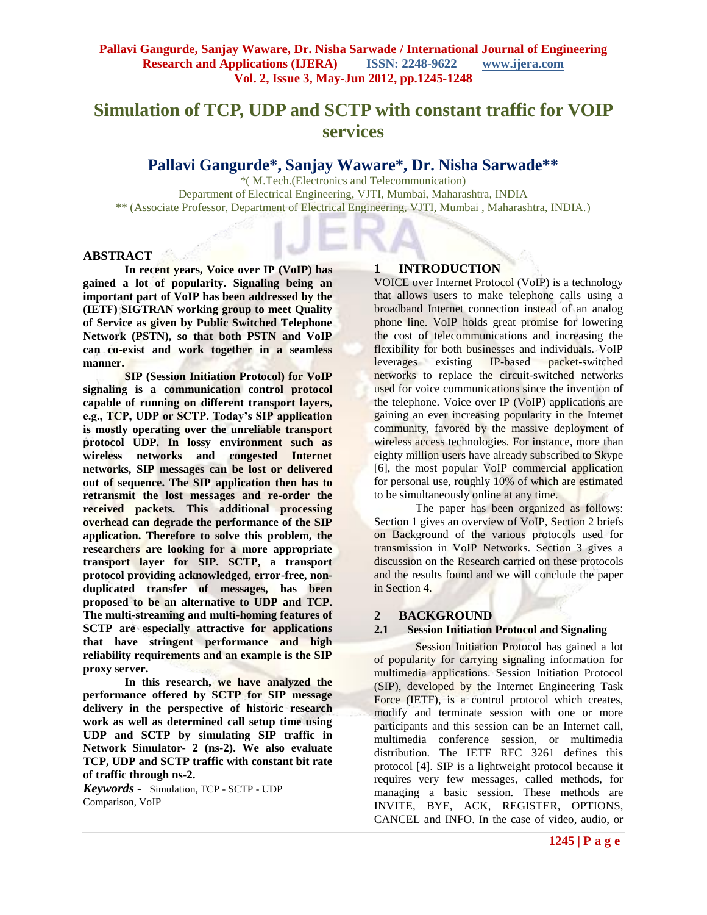# **Simulation of TCP, UDP and SCTP with constant traffic for VOIP services**

## **Pallavi Gangurde\*, Sanjay Waware\*, Dr. Nisha Sarwade\*\***

\*( M.Tech.(Electronics and Telecommunication) Department of Electrical Engineering, VJTI, Mumbai, Maharashtra, INDIA \*\* (Associate Professor, Department of Electrical Engineering, VJTI, Mumbai , Maharashtra, INDIA.)

#### **ABSTRACT**

**In recent years, Voice over IP (VoIP) has gained a lot of popularity. Signaling being an important part of VoIP has been addressed by the (IETF) SIGTRAN working group to meet Quality of Service as given by Public Switched Telephone Network (PSTN), so that both PSTN and VoIP can co-exist and work together in a seamless manner.** 

**SIP (Session Initiation Protocol) for VoIP signaling is a communication control protocol capable of running on different transport layers, e.g., TCP, UDP or SCTP. Today's SIP application is mostly operating over the unreliable transport protocol UDP. In lossy environment such as wireless networks and congested Internet networks, SIP messages can be lost or delivered out of sequence. The SIP application then has to retransmit the lost messages and re-order the received packets. This additional processing overhead can degrade the performance of the SIP application. Therefore to solve this problem, the researchers are looking for a more appropriate transport layer for SIP. SCTP, a transport protocol providing acknowledged, error-free, nonduplicated transfer of messages, has been proposed to be an alternative to UDP and TCP. The multi-streaming and multi-homing features of SCTP are especially attractive for applications that have stringent performance and high reliability requirements and an example is the SIP proxy server.** 

**In this research, we have analyzed the performance offered by SCTP for SIP message delivery in the perspective of historic research work as well as determined call setup time using UDP and SCTP by simulating SIP traffic in Network Simulator- 2 (ns-2). We also evaluate TCP, UDP and SCTP traffic with constant bit rate of traffic through ns-2.** 

*Keywords* **-** Simulation, TCP - SCTP - UDP Comparison, VoIP

## **1 INTRODUCTION**

VOICE over Internet Protocol (VoIP) is a technology that allows users to make telephone calls using a broadband Internet connection instead of an analog phone line. VoIP holds great promise for lowering the cost of telecommunications and increasing the flexibility for both businesses and individuals. VoIP<br>leverages existing IP-based packet-switched  $leverages$  existing IP-based networks to replace the circuit-switched networks used for voice communications since the invention of the telephone. Voice over IP (VoIP) applications are gaining an ever increasing popularity in the Internet community, favored by the massive deployment of wireless access technologies. For instance, more than eighty million users have already subscribed to Skype [6], the most popular VoIP commercial application for personal use, roughly 10% of which are estimated to be simultaneously online at any time.

The paper has been organized as follows: Section 1 gives an overview of VoIP, Section 2 briefs on Background of the various protocols used for transmission in VoIP Networks. Section 3 gives a discussion on the Research carried on these protocols and the results found and we will conclude the paper in Section 4.

## **2 BACKGROUND**

#### **2.1 Session Initiation Protocol and Signaling**

Session Initiation Protocol has gained a lot of popularity for carrying signaling information for multimedia applications. Session Initiation Protocol (SIP), developed by the Internet Engineering Task Force (IETF), is a control protocol which creates, modify and terminate session with one or more participants and this session can be an Internet call, multimedia conference session, or multimedia distribution. The IETF RFC 3261 defines this protocol [4]. SIP is a lightweight protocol because it requires very few messages, called methods, for managing a basic session. These methods are INVITE, BYE, ACK, REGISTER, OPTIONS, CANCEL and INFO. In the case of video, audio, or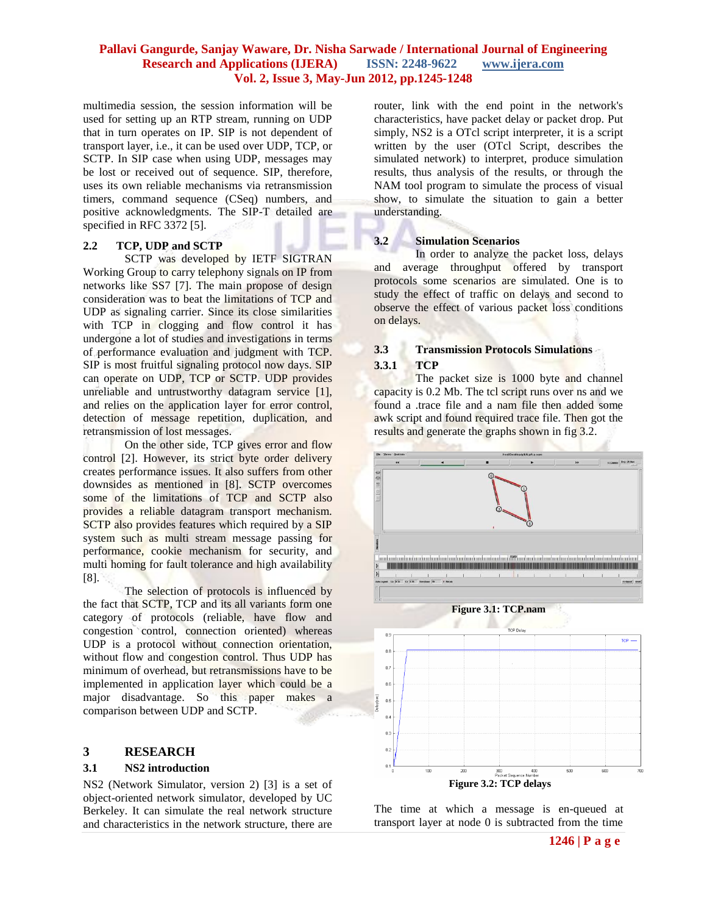#### **Pallavi Gangurde, Sanjay Waware, Dr. Nisha Sarwade / International Journal of Engineering Research and Applications (IJERA) ISSN: 2248-9622 www.ijera.com Vol. 2, Issue 3, May-Jun 2012, pp.1245-1248**

multimedia session, the session information will be used for setting up an RTP stream, running on UDP that in turn operates on IP. SIP is not dependent of transport layer, i.e., it can be used over UDP, TCP, or SCTP. In SIP case when using UDP, messages may be lost or received out of sequence. SIP, therefore, uses its own reliable mechanisms via retransmission timers, command sequence (CSeq) numbers, and positive acknowledgments. The SIP-T detailed are specified in RFC 3372 [5].

#### **2.2 TCP, UDP and SCTP**

SCTP was developed by IETF SIGTRAN Working Group to carry telephony signals on IP from networks like SS7 [7]. The main propose of design consideration was to beat the limitations of TCP and UDP as signaling carrier. Since its close similarities with TCP in clogging and flow control it has undergone a lot of studies and investigations in terms of performance evaluation and judgment with TCP. SIP is most fruitful signaling protocol now days. SIP can operate on UDP, TCP or SCTP. UDP provides unreliable and untrustworthy datagram service [1], and relies on the application layer for error control, detection of message repetition, duplication, and retransmission of lost messages.

On the other side, TCP gives error and flow control [2]. However, its strict byte order delivery creates performance issues. It also suffers from other downsides as mentioned in [8]. SCTP overcomes some of the limitations of TCP and SCTP also provides a reliable datagram transport mechanism. SCTP also provides features which required by a SIP system such as multi stream message passing for performance, cookie mechanism for security, and multi homing for fault tolerance and high availability [8].

The selection of protocols is influenced by the fact that SCTP, TCP and its all variants form one category of protocols (reliable, have flow and congestion control, connection oriented) whereas UDP is a protocol without connection orientation, without flow and congestion control. Thus UDP has minimum of overhead, but retransmissions have to be implemented in application layer which could be a major disadvantage. So this paper makes a comparison between UDP and SCTP.

## **3 RESEARCH**

#### **3.1 NS2 introduction**

NS2 (Network Simulator, version 2) [3] is a set of object-oriented network simulator, developed by UC Berkeley. It can simulate the real network structure and characteristics in the network structure, there are router, link with the end point in the network's characteristics, have packet delay or packet drop. Put simply, NS2 is a OTcl script interpreter, it is a script written by the user (OTcl Script, describes the simulated network) to interpret, produce simulation results, thus analysis of the results, or through the NAM tool program to simulate the process of visual show, to simulate the situation to gain a better understanding.

#### **3.2 Simulation Scenarios**

In order to analyze the packet loss, delays and average throughput offered by transport protocols some scenarios are simulated. One is to study the effect of traffic on delays and second to observe the effect of various packet loss conditions on delays.

## **3.3 Transmission Protocols Simulations 3.3.1 TCP**

The packet size is 1000 byte and channel capacity is 0.2 Mb. The tcl script runs over ns and we found a .trace file and a nam file then added some awk script and found required trace file. Then got the results and generate the graphs shown in fig 3.2.



The time at which a message is en-queued at transport layer at node 0 is subtracted from the time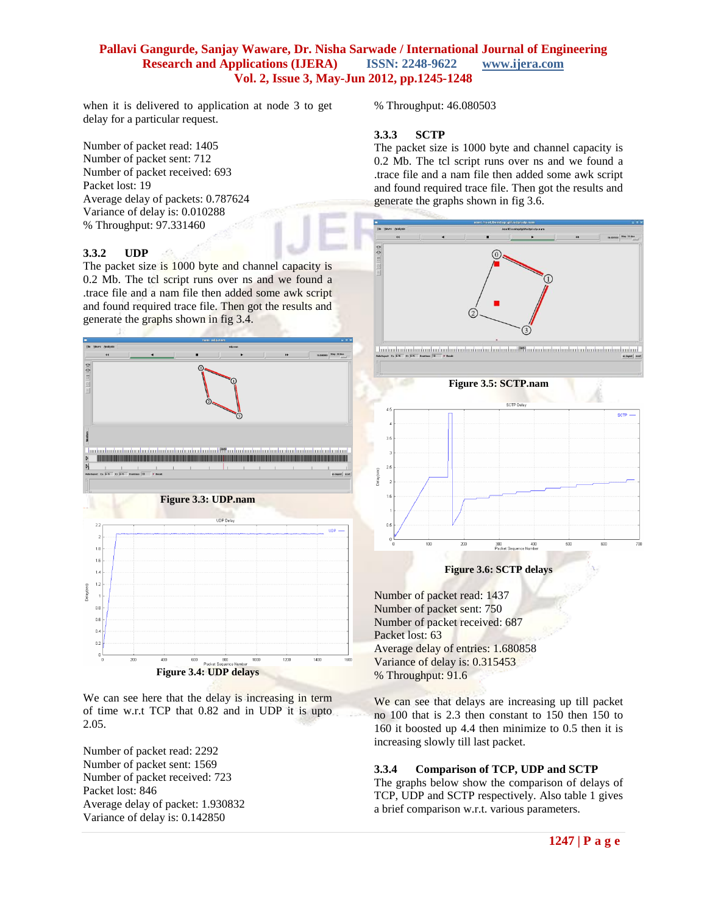## **Pallavi Gangurde, Sanjay Waware, Dr. Nisha Sarwade / International Journal of Engineering Research and Applications (IJERA) ISSN: 2248-9622 www.ijera.com Vol. 2, Issue 3, May-Jun 2012, pp.1245-1248**

when it is delivered to application at node 3 to get delay for a particular request.

Number of packet read: 1405 Number of packet sent: 712 Number of packet received: 693 Packet lost: 19 Average delay of packets: 0.787624 Variance of delay is: 0.010288 % Throughput: 97.331460

## **3.3.2 UDP**

The packet size is 1000 byte and channel capacity is 0.2 Mb. The tcl script runs over ns and we found a .trace file and a nam file then added some awk script and found required trace file. Then got the results and generate the graphs shown in fig 3.4.



We can see here that the delay is increasing in term of time w.r.t TCP that 0.82 and in UDP it is upto 2.05.

Number of packet read: 2292 Number of packet sent: 1569 Number of packet received: 723 Packet lost: 846 Average delay of packet: 1.930832 Variance of delay is: 0.142850

% Throughput: 46.080503

## **3.3.3 SCTP**

The packet size is 1000 byte and channel capacity is 0.2 Mb. The tcl script runs over ns and we found a .trace file and a nam file then added some awk script and found required trace file. Then got the results and generate the graphs shown in fig 3.6.



Number of packet read: 1437 Number of packet sent: 750 Number of packet received: 687 Packet lost: 63 Average delay of entries: 1.680858 Variance of delay is: 0.315453 % Throughput: 91.6

We can see that delays are increasing up till packet no 100 that is 2.3 then constant to 150 then 150 to 160 it boosted up 4.4 then minimize to 0.5 then it is increasing slowly till last packet.

## **3.3.4 Comparison of TCP, UDP and SCTP**

The graphs below show the comparison of delays of TCP, UDP and SCTP respectively. Also table 1 gives a brief comparison w.r.t. various parameters.